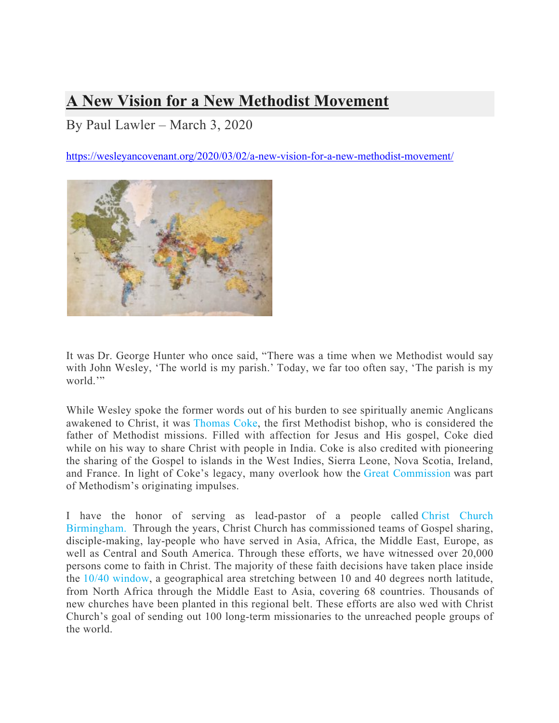## **A New Vision for a New Methodist Movement**

By Paul Lawler – March 3, 2020

https://wesleyancovenant.org/2020/03/02/a-new-vision-for-a-new-methodist-movement/



It was Dr. George Hunter who once said, "There was a time when we Methodist would say with John Wesley, 'The world is my parish.' Today, we far too often say, 'The parish is my world."

While Wesley spoke the former words out of his burden to see spiritually anemic Anglicans awakened to Christ, it was Thomas Coke, the first Methodist bishop, who is considered the father of Methodist missions. Filled with affection for Jesus and His gospel, Coke died while on his way to share Christ with people in India. Coke is also credited with pioneering the sharing of the Gospel to islands in the West Indies, Sierra Leone, Nova Scotia, Ireland, and France. In light of Coke's legacy, many overlook how the Great Commission was part of Methodism's originating impulses.

I have the honor of serving as lead-pastor of a people called Christ Church Birmingham. Through the years, Christ Church has commissioned teams of Gospel sharing, disciple-making, lay-people who have served in Asia, Africa, the Middle East, Europe, as well as Central and South America. Through these efforts, we have witnessed over 20,000 persons come to faith in Christ. The majority of these faith decisions have taken place inside the 10/40 window, a geographical area stretching between 10 and 40 degrees north latitude, from North Africa through the Middle East to Asia, covering 68 countries. Thousands of new churches have been planted in this regional belt. These efforts are also wed with Christ Church's goal of sending out 100 long-term missionaries to the unreached people groups of the world.